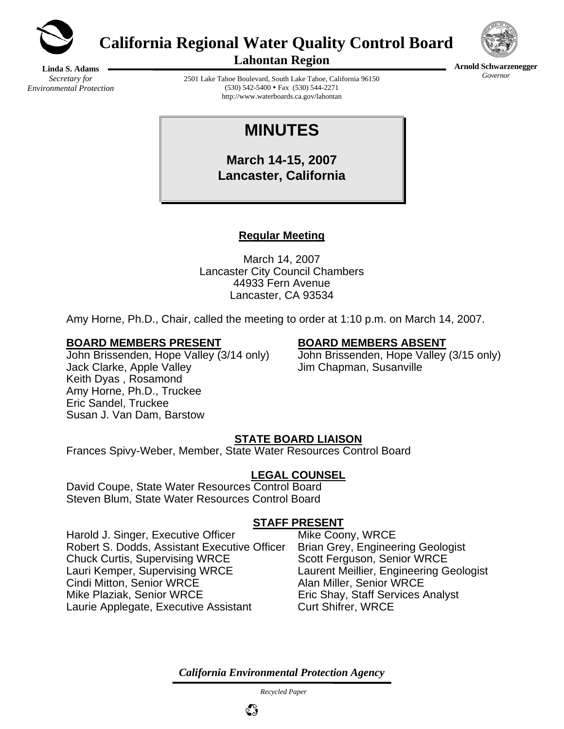

**California Regional Water Quality Control Board** 



**Arnold Schwarzenegger** *Governor* 

**Lahontan Region** 

**Linda S. Adams**  *Secretary for Environmental Protection* 

2501 Lake Tahoe Boulevard, South Lake Tahoe, California 96150  $(530)$  542-5400 • Fax  $(530)$  544-2271 http://www.waterboards.ca.gov/lahontan

# **MINUTES**

**March 14-15, 2007 Lancaster, California** 

# **Regular Meeting**

March 14, 2007 Lancaster City Council Chambers 44933 Fern Avenue Lancaster, CA 93534

Amy Horne, Ph.D., Chair, called the meeting to order at 1:10 p.m. on March 14, 2007.

#### **BOARD MEMBERS PRESENT BOARD MEMBERS ABSENT**

Jack Clarke, Apple Valley Jim Chapman, Susanville Keith Dyas , Rosamond Amy Horne, Ph.D., Truckee Eric Sandel, Truckee Susan J. Van Dam, Barstow

John Brissenden, Hope Valley (3/14 only) John Brissenden, Hope Valley (3/15 only)

### **STATE BOARD LIAISON**

Frances Spivy-Weber, Member, State Water Resources Control Board

### **LEGAL COUNSEL**

David Coupe, State Water Resources Control Board Steven Blum, State Water Resources Control Board

### **STAFF PRESENT**

Harold J. Singer, Executive Officer Mike Coony, WRCE Robert S. Dodds, Assistant Executive Officer Brian Grey, Engineering Geologist Chuck Curtis, Supervising WRCE Scott Ferguson, Senior WRCE Lauri Kemper, Supervising WRCE Laurent Meillier, Engineering Geologist Cindi Mitton, Senior WRCE Alan Miller, Senior WRCE Mike Plaziak, Senior WRCE Eric Shay, Staff Services Analyst Laurie Applegate, Executive Assistant Curt Shifrer, WRCE

*California Environmental Protection Agency*

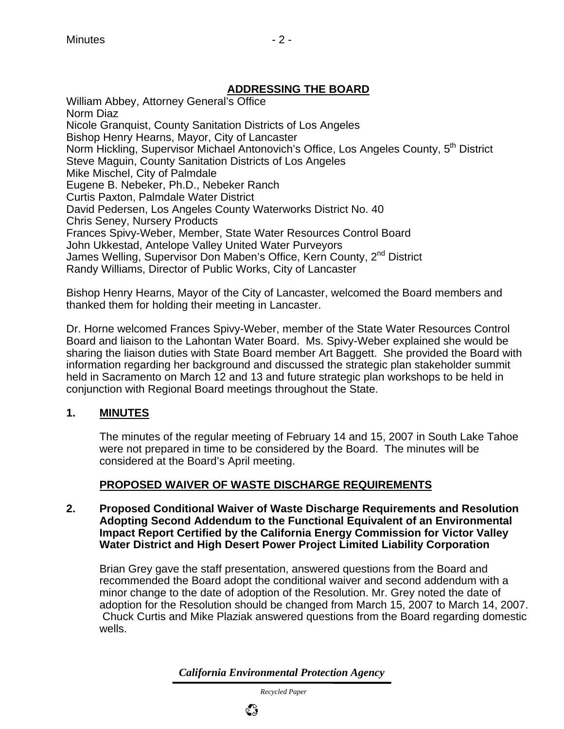# **ADDRESSING THE BOARD**

William Abbey, Attorney General's Office Norm Diaz Nicole Granquist, County Sanitation Districts of Los Angeles Bishop Henry Hearns, Mayor, City of Lancaster Norm Hickling, Supervisor Michael Antonovich's Office, Los Angeles County, 5<sup>th</sup> District Steve Maguin, County Sanitation Districts of Los Angeles Mike Mischel, City of Palmdale Eugene B. Nebeker, Ph.D., Nebeker Ranch Curtis Paxton, Palmdale Water District David Pedersen, Los Angeles County Waterworks District No. 40 Chris Seney, Nursery Products Frances Spivy-Weber, Member, State Water Resources Control Board John Ukkestad, Antelope Valley United Water Purveyors James Welling, Supervisor Don Maben's Office, Kern County, 2<sup>nd</sup> District Randy Williams, Director of Public Works, City of Lancaster

Bishop Henry Hearns, Mayor of the City of Lancaster, welcomed the Board members and thanked them for holding their meeting in Lancaster.

Dr. Horne welcomed Frances Spivy-Weber, member of the State Water Resources Control Board and liaison to the Lahontan Water Board. Ms. Spivy-Weber explained she would be sharing the liaison duties with State Board member Art Baggett. She provided the Board with information regarding her background and discussed the strategic plan stakeholder summit held in Sacramento on March 12 and 13 and future strategic plan workshops to be held in conjunction with Regional Board meetings throughout the State.

### **1. MINUTES**

The minutes of the regular meeting of February 14 and 15, 2007 in South Lake Tahoe were not prepared in time to be considered by the Board. The minutes will be considered at the Board's April meeting.

# **PROPOSED WAIVER OF WASTE DISCHARGE REQUIREMENTS**

**2. Proposed Conditional Waiver of Waste Discharge Requirements and Resolution Adopting Second Addendum to the Functional Equivalent of an Environmental Impact Report Certified by the California Energy Commission for Victor Valley Water District and High Desert Power Project Limited Liability Corporation** 

Brian Grey gave the staff presentation, answered questions from the Board and recommended the Board adopt the conditional waiver and second addendum with a minor change to the date of adoption of the Resolution. Mr. Grey noted the date of adoption for the Resolution should be changed from March 15, 2007 to March 14, 2007. Chuck Curtis and Mike Plaziak answered questions from the Board regarding domestic wells.

*California Environmental Protection Agency*

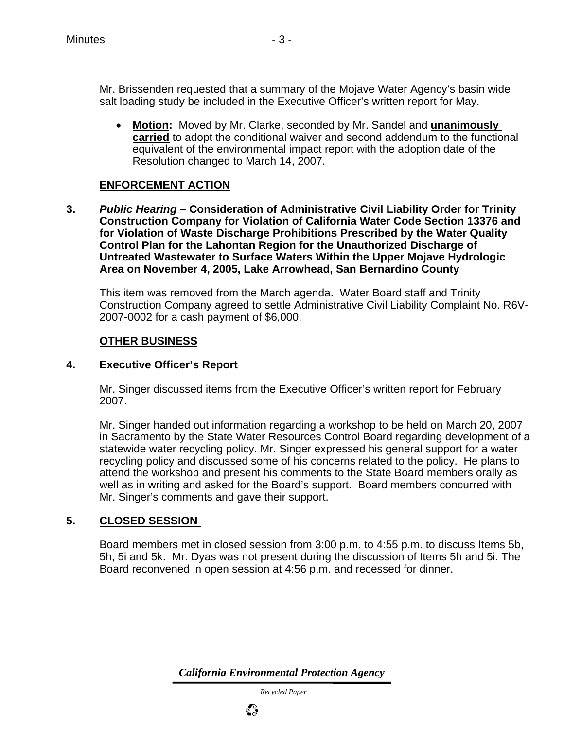Mr. Brissenden requested that a summary of the Mojave Water Agency's basin wide salt loading study be included in the Executive Officer's written report for May.

• **Motion:** Moved by Mr. Clarke, seconded by Mr. Sandel and **unanimously carried** to adopt the conditional waiver and second addendum to the functional equivalent of the environmental impact report with the adoption date of the Resolution changed to March 14, 2007.

#### **ENFORCEMENT ACTION**

**3.** *Public Hearing* **– Consideration of Administrative Civil Liability Order for Trinity Construction Company for Violation of California Water Code Section 13376 and for Violation of Waste Discharge Prohibitions Prescribed by the Water Quality Control Plan for the Lahontan Region for the Unauthorized Discharge of Untreated Wastewater to Surface Waters Within the Upper Mojave Hydrologic Area on November 4, 2005, Lake Arrowhead, San Bernardino County** 

This item was removed from the March agenda. Water Board staff and Trinity Construction Company agreed to settle Administrative Civil Liability Complaint No. R6V-2007-0002 for a cash payment of \$6,000.

### **OTHER BUSINESS**

#### **4. Executive Officer's Report**

Mr. Singer discussed items from the Executive Officer's written report for February 2007.

Mr. Singer handed out information regarding a workshop to be held on March 20, 2007 in Sacramento by the State Water Resources Control Board regarding development of a statewide water recycling policy. Mr. Singer expressed his general support for a water recycling policy and discussed some of his concerns related to the policy. He plans to attend the workshop and present his comments to the State Board members orally as well as in writing and asked for the Board's support. Board members concurred with Mr. Singer's comments and gave their support.

### **5. CLOSED SESSION**

Board members met in closed session from 3:00 p.m. to 4:55 p.m. to discuss Items 5b, 5h, 5i and 5k. Mr. Dyas was not present during the discussion of Items 5h and 5i. The Board reconvened in open session at 4:56 p.m. and recessed for dinner.

*California Environmental Protection Agency*

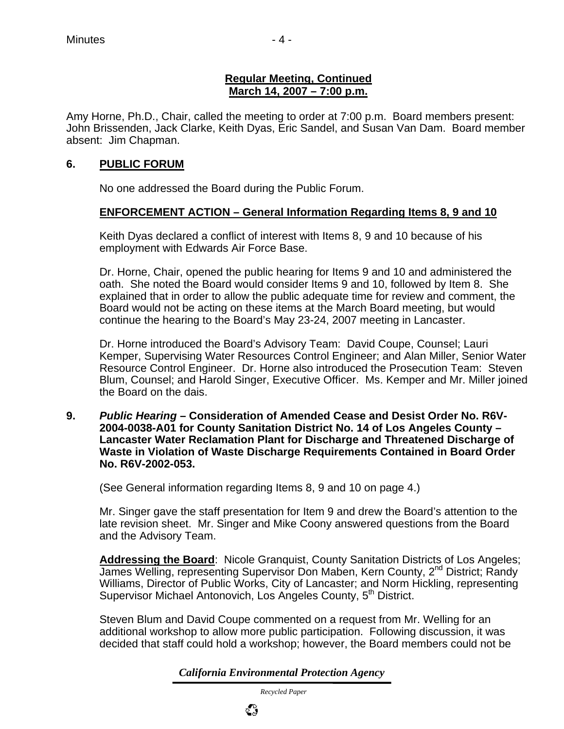#### **Regular Meeting, Continued March 14, 2007 – 7:00 p.m.**

Amy Horne, Ph.D., Chair, called the meeting to order at 7:00 p.m. Board members present: John Brissenden, Jack Clarke, Keith Dyas, Eric Sandel, and Susan Van Dam. Board member absent: Jim Chapman.

#### **6. PUBLIC FORUM**

No one addressed the Board during the Public Forum.

### **ENFORCEMENT ACTION – General Information Regarding Items 8, 9 and 10**

Keith Dyas declared a conflict of interest with Items 8, 9 and 10 because of his employment with Edwards Air Force Base.

Dr. Horne, Chair, opened the public hearing for Items 9 and 10 and administered the oath. She noted the Board would consider Items 9 and 10, followed by Item 8. She explained that in order to allow the public adequate time for review and comment, the Board would not be acting on these items at the March Board meeting, but would continue the hearing to the Board's May 23-24, 2007 meeting in Lancaster.

Dr. Horne introduced the Board's Advisory Team: David Coupe, Counsel; Lauri Kemper, Supervising Water Resources Control Engineer; and Alan Miller, Senior Water Resource Control Engineer. Dr. Horne also introduced the Prosecution Team: Steven Blum, Counsel; and Harold Singer, Executive Officer. Ms. Kemper and Mr. Miller joined the Board on the dais.

**9.** *Public Hearing* **– Consideration of Amended Cease and Desist Order No. R6V-2004-0038-A01 for County Sanitation District No. 14 of Los Angeles County – Lancaster Water Reclamation Plant for Discharge and Threatened Discharge of Waste in Violation of Waste Discharge Requirements Contained in Board Order No. R6V-2002-053.** 

(See General information regarding Items 8, 9 and 10 on page 4.)

 Mr. Singer gave the staff presentation for Item 9 and drew the Board's attention to the late revision sheet. Mr. Singer and Mike Coony answered questions from the Board and the Advisory Team.

**Addressing the Board**: Nicole Granquist, County Sanitation Districts of Los Angeles; James Welling, representing Supervisor Don Maben, Kern County, 2<sup>nd</sup> District; Randy Williams, Director of Public Works, City of Lancaster; and Norm Hickling, representing Supervisor Michael Antonovich, Los Angeles County, 5<sup>th</sup> District.

Steven Blum and David Coupe commented on a request from Mr. Welling for an additional workshop to allow more public participation. Following discussion, it was decided that staff could hold a workshop; however, the Board members could not be

*California Environmental Protection Agency*

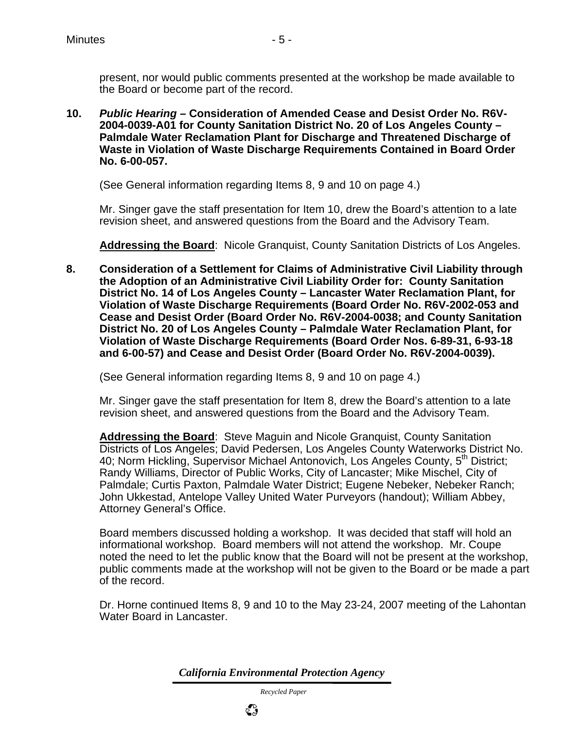present, nor would public comments presented at the workshop be made available to the Board or become part of the record.

**10.** *Public Hearing* **– Consideration of Amended Cease and Desist Order No. R6V-2004-0039-A01 for County Sanitation District No. 20 of Los Angeles County – Palmdale Water Reclamation Plant for Discharge and Threatened Discharge of Waste in Violation of Waste Discharge Requirements Contained in Board Order No. 6-00-057.** 

(See General information regarding Items 8, 9 and 10 on page 4.)

Mr. Singer gave the staff presentation for Item 10, drew the Board's attention to a late revision sheet, and answered questions from the Board and the Advisory Team.

**Addressing the Board**: Nicole Granquist, County Sanitation Districts of Los Angeles.

**8. Consideration of a Settlement for Claims of Administrative Civil Liability through the Adoption of an Administrative Civil Liability Order for: County Sanitation District No. 14 of Los Angeles County – Lancaster Water Reclamation Plant, for Violation of Waste Discharge Requirements (Board Order No. R6V-2002-053 and Cease and Desist Order (Board Order No. R6V-2004-0038; and County Sanitation District No. 20 of Los Angeles County – Palmdale Water Reclamation Plant, for Violation of Waste Discharge Requirements (Board Order Nos. 6-89-31, 6-93-18 and 6-00-57) and Cease and Desist Order (Board Order No. R6V-2004-0039).** 

(See General information regarding Items 8, 9 and 10 on page 4.)

Mr. Singer gave the staff presentation for Item 8, drew the Board's attention to a late revision sheet, and answered questions from the Board and the Advisory Team.

**Addressing the Board**: Steve Maguin and Nicole Granquist, County Sanitation Districts of Los Angeles; David Pedersen, Los Angeles County Waterworks District No. 40; Norm Hickling, Supervisor Michael Antonovich, Los Angeles County, 5<sup>th</sup> District; Randy Williams, Director of Public Works, City of Lancaster; Mike Mischel, City of Palmdale; Curtis Paxton, Palmdale Water District; Eugene Nebeker, Nebeker Ranch; John Ukkestad, Antelope Valley United Water Purveyors (handout); William Abbey, Attorney General's Office.

Board members discussed holding a workshop. It was decided that staff will hold an informational workshop. Board members will not attend the workshop. Mr. Coupe noted the need to let the public know that the Board will not be present at the workshop, public comments made at the workshop will not be given to the Board or be made a part of the record.

Dr. Horne continued Items 8, 9 and 10 to the May 23-24, 2007 meeting of the Lahontan Water Board in Lancaster.

*California Environmental Protection Agency*

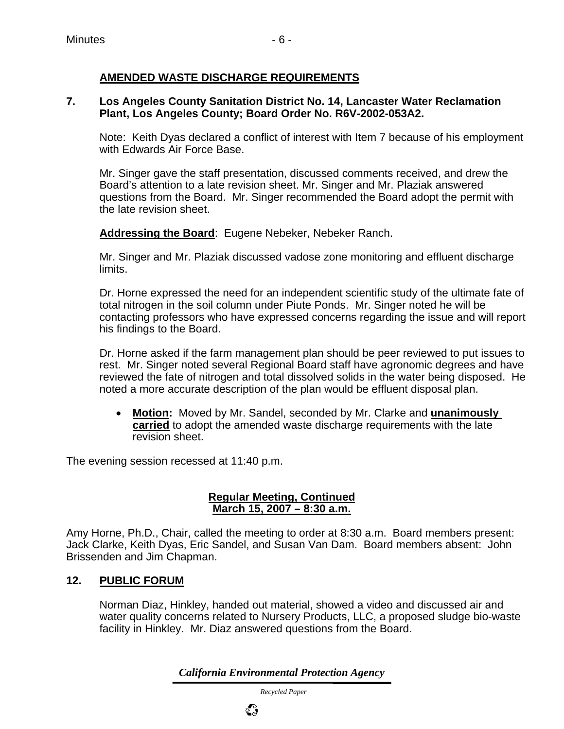### **AMENDED WASTE DISCHARGE REQUIREMENTS**

#### **7. Los Angeles County Sanitation District No. 14, Lancaster Water Reclamation Plant, Los Angeles County; Board Order No. R6V-2002-053A2.**

Note: Keith Dyas declared a conflict of interest with Item 7 because of his employment with Edwards Air Force Base.

Mr. Singer gave the staff presentation, discussed comments received, and drew the Board's attention to a late revision sheet. Mr. Singer and Mr. Plaziak answered questions from the Board. Mr. Singer recommended the Board adopt the permit with the late revision sheet.

**Addressing the Board**: Eugene Nebeker, Nebeker Ranch.

Mr. Singer and Mr. Plaziak discussed vadose zone monitoring and effluent discharge limits.

Dr. Horne expressed the need for an independent scientific study of the ultimate fate of total nitrogen in the soil column under Piute Ponds. Mr. Singer noted he will be contacting professors who have expressed concerns regarding the issue and will report his findings to the Board.

Dr. Horne asked if the farm management plan should be peer reviewed to put issues to rest. Mr. Singer noted several Regional Board staff have agronomic degrees and have reviewed the fate of nitrogen and total dissolved solids in the water being disposed. He noted a more accurate description of the plan would be effluent disposal plan.

• **Motion:** Moved by Mr. Sandel, seconded by Mr. Clarke and **unanimously carried** to adopt the amended waste discharge requirements with the late revision sheet.

The evening session recessed at 11:40 p.m.

#### **Regular Meeting, Continued March 15, 2007 – 8:30 a.m.**

Amy Horne, Ph.D., Chair, called the meeting to order at 8:30 a.m. Board members present: Jack Clarke, Keith Dyas, Eric Sandel, and Susan Van Dam. Board members absent: John Brissenden and Jim Chapman.

### **12. PUBLIC FORUM**

Norman Diaz, Hinkley, handed out material, showed a video and discussed air and water quality concerns related to Nursery Products, LLC, a proposed sludge bio-waste facility in Hinkley. Mr. Diaz answered questions from the Board.

*California Environmental Protection Agency*